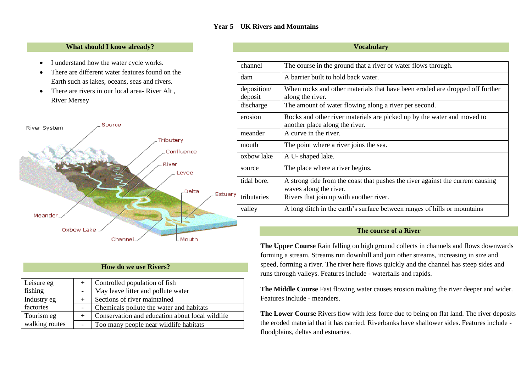# **Year 5 – UK Rivers and Mountains**

## **What should I know already?**

- I understand how the water cycle works.
- There are different water features found on the Earth such as lakes, oceans, seas and rivers.
- There are rivers in our local area- River Alt, River Mersey



# **How do we use Rivers?**

| Leisure eg     | $+$                      | Controlled population of fish                   |  |
|----------------|--------------------------|-------------------------------------------------|--|
| fishing        |                          | May leave litter and pollute water              |  |
| Industry eg    |                          | Sections of river maintained                    |  |
| factories      |                          | Chemicals pollute the water and habitats        |  |
| Tourism eg     |                          | Conservation and education about local wildlife |  |
| walking routes | $\overline{\phantom{a}}$ | Too many people near wildlife habitats          |  |

#### **Vocabulary**

| channel                | The course in the ground that a river or water flows through.                                             |
|------------------------|-----------------------------------------------------------------------------------------------------------|
| dam                    | A barrier built to hold back water.                                                                       |
| deposition/<br>deposit | When rocks and other materials that have been eroded are dropped off further<br>along the river.          |
| discharge              | The amount of water flowing along a river per second.                                                     |
| erosion                | Rocks and other river materials are picked up by the water and moved to<br>another place along the river. |
| meander                | A curve in the river.                                                                                     |
| mouth                  | The point where a river joins the sea.                                                                    |
| oxbow lake             | A U-shaped lake.                                                                                          |
| source                 | The place where a river begins.                                                                           |
| tidal bore.            | A strong tide from the coast that pushes the river against the current causing<br>waves along the river.  |
| ry.<br>tributaries     | Rivers that join up with another river.                                                                   |
| valley                 | A long ditch in the earth's surface between ranges of hills or mountains                                  |

## **The course of a River**

**The Upper Course** Rain falling on high ground collects in channels and flows downwards forming a stream. Streams run downhill and join other streams, increasing in size and speed, forming a river. The river here flows quickly and the channel has steep sides and runs through valleys. Features include - waterfalls and rapids.

**The Middle Course** Fast flowing water causes erosion making the river deeper and wider. Features include - meanders.

**The Lower Course** Rivers flow with less force due to being on flat land. The river deposits the eroded material that it has carried. Riverbanks have shallower sides. Features include floodplains, deltas and estuaries.